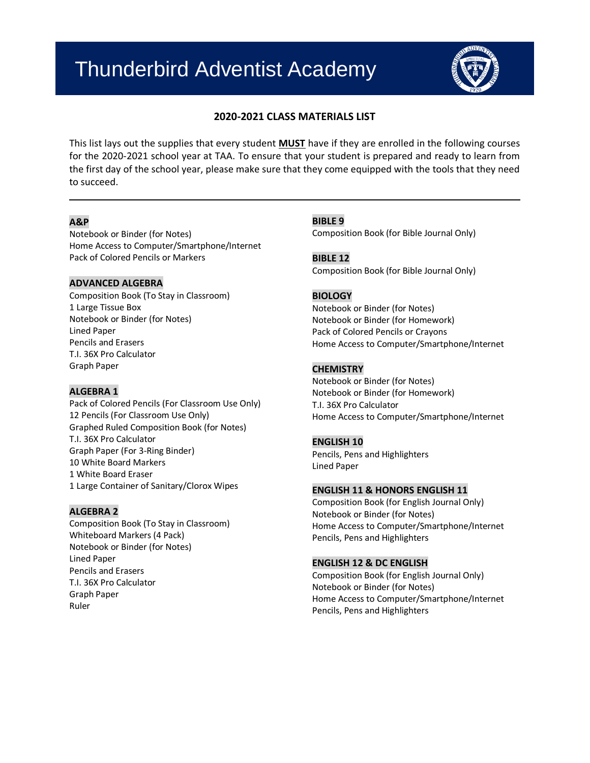# Thunderbird Adventist Academy



# **2020-2021 CLASS MATERIALS LIST**

This list lays out the supplies that every student **MUST** have if they are enrolled in the following courses for the 2020-2021 school year at TAA. To ensure that your student is prepared and ready to learn from the first day of the school year, please make sure that they come equipped with the tools that they need to succeed.

## **A&P**

Notebook or Binder (for Notes) Home Access to Computer/Smartphone/Internet Pack of Colored Pencils or Markers

## **ADVANCED ALGEBRA**

Composition Book (To Stay in Classroom) 1 Large Tissue Box Notebook or Binder (for Notes) Lined Paper Pencils and Erasers T.I. 36X Pro Calculator Graph Paper

## **ALGEBRA 1**

Pack of Colored Pencils (For Classroom Use Only) 12 Pencils (For Classroom Use Only) Graphed Ruled Composition Book (for Notes) T.I. 36X Pro Calculator Graph Paper (For 3-Ring Binder) 10 White Board Markers 1 White Board Eraser 1 Large Container of Sanitary/Clorox Wipes

## **ALGEBRA 2**

Composition Book (To Stay in Classroom) Whiteboard Markers (4 Pack) Notebook or Binder (for Notes) Lined Paper Pencils and Erasers T.I. 36X Pro Calculator Graph Paper Ruler

## **BIBLE 9**

Composition Book (for Bible Journal Only)

**BIBLE 12** Composition Book (for Bible Journal Only)

## **BIOLOGY**

Notebook or Binder (for Notes) Notebook or Binder (for Homework) Pack of Colored Pencils or Crayons Home Access to Computer/Smartphone/Internet

## **CHEMISTRY**

Notebook or Binder (for Notes) Notebook or Binder (for Homework) T.I. 36X Pro Calculator Home Access to Computer/Smartphone/Internet

#### **ENGLISH 10**

Pencils, Pens and Highlighters Lined Paper

## **ENGLISH 11 & HONORS ENGLISH 11**

Composition Book (for English Journal Only) Notebook or Binder (for Notes) Home Access to Computer/Smartphone/Internet Pencils, Pens and Highlighters

#### **ENGLISH 12 & DC ENGLISH**

Composition Book (for English Journal Only) Notebook or Binder (for Notes) Home Access to Computer/Smartphone/Internet Pencils, Pens and Highlighters